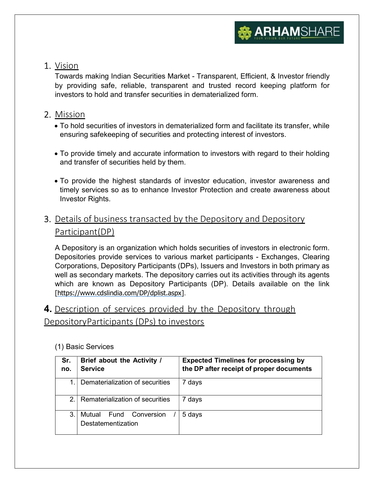

### 1. Vision

Towards making Indian Securities Market - Transparent, Efficient, & Investor friendly by providing safe, reliable, transparent and trusted record keeping platform for investors to hold and transfer securities in dematerialized form.

## 2. Mission

- To hold securities of investors in dematerialized form and facilitate its transfer, while ensuring safekeeping of securities and protecting interest of investors.
- To provide timely and accurate information to investors with regard to their holding and transfer of securities held by them.
- To provide the highest standards of investor education, investor awareness and timely services so as to enhance Investor Protection and create awareness about Investor Rights.

## 3. Details of business transacted by the Depository and Depository Participant (DP)

A Depository is an organization which holds securities of investors in electronic form. Depositories provide services to various market participants - Exchanges, Clearing Corporations, Depository Participants (DPs), Issuers and Investors in both primary as well as secondary markets. The depository carries out its activities through its agents which are known as Depository Participants (DP). Details available on the link [https://www.cdslindia.com/DP/dplist.aspx].

# 4. Description of services provided by the Depository through Depository Participants (DPs) to investors

| Sr.<br>no.    | Brief about the Activity /<br><b>Service</b>       | <b>Expected Timelines for processing by</b><br>the DP after receipt of proper documents |
|---------------|----------------------------------------------------|-----------------------------------------------------------------------------------------|
| 1.            | Dematerialization of securities                    | days                                                                                    |
| $\mathcal{P}$ | Rematerialization of securities                    | days                                                                                    |
| 3.            | Mutual<br>Fund<br>Conversion<br>Destatementization | 5 days                                                                                  |

#### (1) Basic Services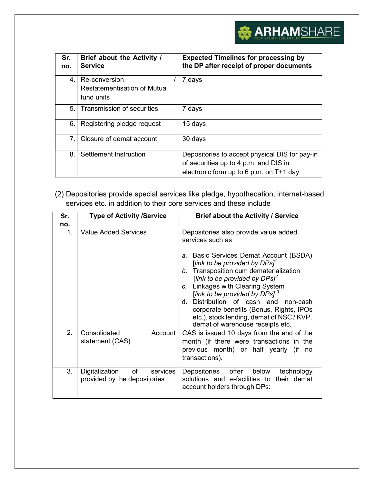# **ARHAMSHARE**

| Sr.<br>no.     | Brief about the Activity /<br><b>Service</b> | <b>Expected Timelines for processing by</b><br>the DP after receipt of proper documents |
|----------------|----------------------------------------------|-----------------------------------------------------------------------------------------|
| $4_{\cdot}$    | Re-conversion                                | 7 days                                                                                  |
|                | Restatementisation of Mutual                 |                                                                                         |
|                | fund units                                   |                                                                                         |
| 5.             | Transmission of securities                   | 7 days                                                                                  |
| 6.             | Registering pledge request                   | 15 days                                                                                 |
| $\overline{7}$ | Closure of demat account                     | 30 days                                                                                 |
| 8.             | Settlement Instruction                       | Depositories to accept physical DIS for pay-in<br>of securities up to 4 p.m. and DIS in |
|                |                                              | electronic form up to 6 p.m. on T+1 day                                                 |

(2) Depositories provide special services like pledge, hypothecation, internet-based services etc. in addition to their core services and these include

| Sr.<br>no.    | <b>Type of Activity /Service</b>                                 | Brief about the Activity / Service                                                                                                                                                                                                                                                                                                                                                                                                                                               |
|---------------|------------------------------------------------------------------|----------------------------------------------------------------------------------------------------------------------------------------------------------------------------------------------------------------------------------------------------------------------------------------------------------------------------------------------------------------------------------------------------------------------------------------------------------------------------------|
| $\mathbf 1$ . | <b>Value Added Services</b>                                      | Depositories also provide value added<br>services such as<br>a. Basic Services Demat Account (BSDA)<br>[link to be provided by $DPSI^1$<br>Transposition cum dematerialization<br>$b_{-}$<br>[link to be provided by $DPs^2$<br>Linkages with Clearing System<br>C.<br>[link to be provided by DPs] $^3$<br>Distribution of cash and non-cash<br>d –<br>corporate benefits (Bonus, Rights, IPOs<br>etc.), stock lending, demat of NSC / KVP,<br>demat of warehouse receipts etc. |
| 2.            | Consolidated<br>Account<br>statement (CAS)                       | CAS is issued 10 days from the end of the<br>month (if there were transactions in the<br>previous month) or half yearly (if<br>no<br>transactions).                                                                                                                                                                                                                                                                                                                              |
| 3.            | of<br>Digitalization<br>services<br>provided by the depositories | Depositories offer<br>below<br>technology<br>solutions and e-facilities to their demat<br>account holders through DPs:                                                                                                                                                                                                                                                                                                                                                           |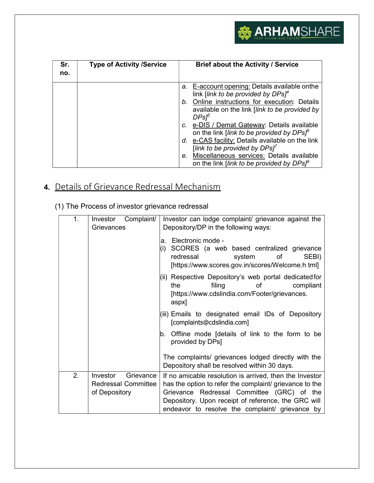

| Sr.<br>no. | <b>Type of Activity /Service</b> | Brief about the Activity / Service                                                                                                                                                                                       |
|------------|----------------------------------|--------------------------------------------------------------------------------------------------------------------------------------------------------------------------------------------------------------------------|
|            |                                  | a. E-account opening: Details available onthe<br>link [link to be provided by DPs] <sup>4</sup><br>Online instructions for execution: Details<br>b.<br>available on the link [link to be provided by<br>DPs <sup>5</sup> |
|            |                                  | c. e-DIS / Demat Gateway: Details available<br>on the link [link to be provided by DPs] <sup>6</sup><br>d. e-CAS facility: Details available on the link<br>[link to be provided by $DPSI^7$                             |
|            |                                  | Miscellaneous services: Details available<br>e.<br>on the link [link to be provided by DPs] <sup>8</sup>                                                                                                                 |

# 4. Details of Grievance Redressal Mechanism

|  |  | (1) The Process of investor grievance redressal |
|--|--|-------------------------------------------------|
|  |  |                                                 |

| 1. | Complaint/<br>Investor<br>Grievances | Investor can lodge complaint/ grievance against the<br>Depository/DP in the following ways:                                                                          |  |
|----|--------------------------------------|----------------------------------------------------------------------------------------------------------------------------------------------------------------------|--|
|    |                                      | Electronic mode -<br>a.<br>SCORES (a web based centralized grievance<br>(i)<br>redressal<br>system<br>SEBI)<br>of<br>[https://www.scores.gov.in/scores/Welcome.html] |  |
|    |                                      | (ii) Respective Depository's web portal dedicated for<br>compliant<br>filing<br>of<br>the<br>[https://www.cdslindia.com/Footer/grievances.<br>aspx]                  |  |
|    |                                      | (iii) Emails to designated email IDs of Depository<br>[complaints@cdslindia.com]                                                                                     |  |
|    |                                      | Offline mode [details of link to the form to be<br>Ib.<br>provided by DPs]                                                                                           |  |
|    |                                      | The complaints/ grievances lodged directly with the<br>Depository shall be resolved within 30 days.                                                                  |  |
| 2. | Investor<br>Grievance                | If no amicable resolution is arrived, then the Investor                                                                                                              |  |
|    | <b>Redressal Committee</b>           | has the option to refer the complaint/ grievance to the                                                                                                              |  |
|    | of Depository                        | Grievance Redressal Committee (GRC) of the<br>Depository. Upon receipt of reference, the GRC will                                                                    |  |
|    |                                      | endeavor to resolve the complaint/ grievance by                                                                                                                      |  |